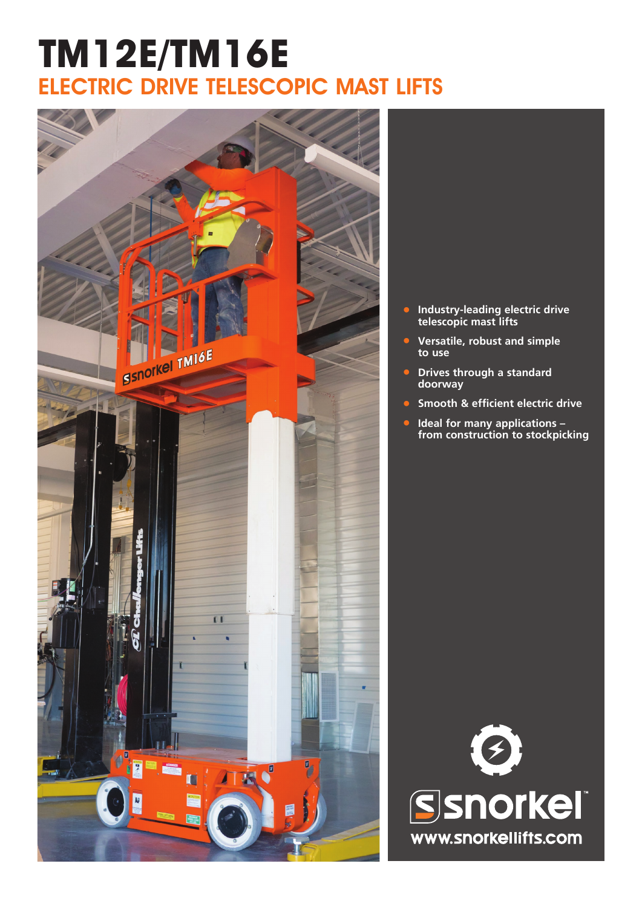### **TM12E/TM16E** ELECTRIC DRIVE TELESCOPIC MAST LIFTS



- **• Industry-leading electric drive telescopic mast lifts**
- **• Versatile, robust and simple to use**
- **• Drives through a standard doorway**
- **• Smooth & efficient electric drive**
- **• Ideal for many applications – from construction to stockpicking**